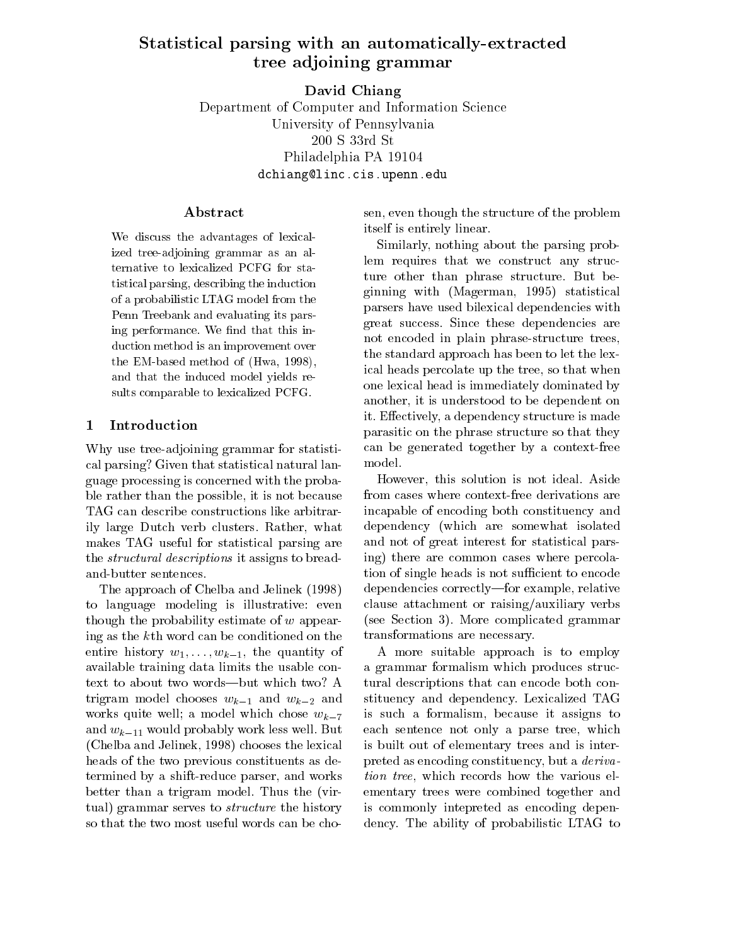# statistical particles with a particle with an automatically-extracted and the contracted and contract the contracted and contract the contracted and contract the contracted and contract the contracted and contract the cont tree adjoining and the complete adjoint the complete and adjoining to the complete and adjoining to the complete and adjoining to the complete and adjoining to the complete and adjoining to the complete and adjoining to th

David Chiang Department of Computer and Information Science University of Pennsylvania 200 S 33rd St Philadelphia PA 19104 dchiang@linc.cis.upenn.edu

We discuss the advantages of lexicalized tree-adjoining grammar as an alternative to lexicalized PCFG for statistical parsing, describing the induction of a probabilistic LTAG model from the Penn Treebank and evaluating its parsing performance. We find that this induction method is an improvement over the EM-based method of (Hwa, 1998), and that the induced model yields results comparable to lexicalized PCFG.

### 1 Introduction

Why use tree-adjoining grammar for statistical parsing? Given that statistical natural language processing is concerned with the probable rather than the possible, it is not because TAG can describe constructions like arbitrarily large Dutch verb clusters. Rather, what makes TAG useful for statistical parsing are the structural descriptions it assigns to breadand-butter sentences.

The approach of Chelba and Jelinek (1998) to language modeling is illustrative: even though the probability estimate of <sup>w</sup> appearing as the kth word can be conditioned on the entire history  $w_1,\ldots,w_{k-1}$ , the quantity of available training data limits the usable context to about two words-but which two? A trigram model chooses  $w_{k-1}$  and  $w_{k-2}$  and works quite well; a model which chose  $w_{k-7}$ and  $w_{k-11}$  would probably work less well. But (Chelba and Jelinek, 1998) chooses the lexical heads of the two previous constituents as determined by a shift-reduce parser, and works better than a trigram model. Thus the (virtual) grammar serves to structure the history so that the two most useful words can be cho-

sen, even though the structure of the problem itself is entirely linear.

Similarly, nothing about the parsing problem requires that we construct any structure other than phrase structure. But beginning with (Magerman, 1995) statistical parsers have used bilexical dependencies with great success. Since these dependencies are not encoded in plain phrase-structure trees, the standard approach has been to let the lexical heads percolate up the tree, so that when one lexical head is immediately dominated by another, it is understood to be dependent on it. Effectively, a dependency structure is made parasitic on the phrase structure so that they can be generated together by a context-free model.

However, this solution is not ideal. Aside from cases where context-free derivations are incapable of encoding both constituency and dependency (which are somewhat isolated and not of great interest for statistical parsing) there are common cases where percolation of single heads is not sufficient to encode dependencies correctly—for example, relative clause attachment or raising/auxiliary verbs (see Section 3). More complicated grammar transformations are necessary.

A more suitable approach is to employ a grammar formalism which produces structural descriptions that can encode both constituency and dependency. Lexicalized TAG is such a formalism, because it assigns to each sentence not only a parse tree, which is built out of elementary trees and is interpreted as encoding constituency, but a derivation tree, which records how the various elementary trees were combined together and is commonly intepreted as encoding dependency. The ability of probabilistic LTAG to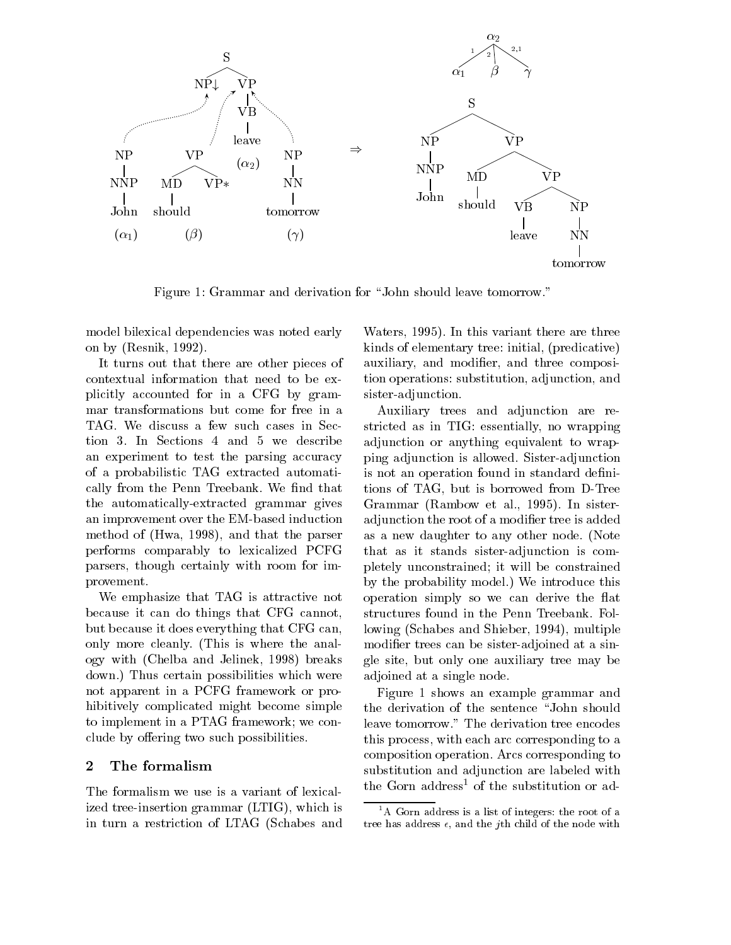

Figure 1: Grammar and derivation for "John should leave tomorrow."

model bilexical dependencies was noted early on by (Resnik, 1992).

It turns out that there are other pieces of contextual information that need to be explicitly accounted for in a CFG by grammar transformations but come for free in a TAG. We discuss a few such cases in Section 3. In Sections 4 and 5 we describe an experiment to test the parsing accuracy of a probabilistic TAG extracted automatically from the Penn Treebank. We find that the automatically-extracted grammar gives an improvement over the EM-based induction method of (Hwa, 1998), and that the parser performs comparably to lexicalized PCFG parsers, though certainly with room for improvement.

We emphasize that TAG is attractive not because it can do things that CFG cannot, but because it does everything that CFG can, only more cleanly. (This is where the analogy with (Chelba and Jelinek, 1998) breaks down.) Thus certain possibilities which were not apparent in a PCFG framework or prohibitively complicated might become simple to implement in a PTAG framework; we conclude by offering two such possibilities.

### 2 The formalism

The formalism we use is a variant of lexicalized tree-insertion grammar (LTIG), which is in turn a restriction of LTAG (Schabes and

Waters, 1995). In this variant there are three kinds of elementary tree: initial, (predicative) auxiliary, and modifier, and three composition operations: substitution, adjunction, and sister-adjunction.

Auxiliary trees and adjunction are restricted as in TIG: essentially, no wrapping adjunction or anything equivalent to wrapping adjunction is allowed. Sister-adjunction is not an operation found in standard definitions of TAG, but is borrowed from D-Tree Grammar (Rambow et al., 1995). In sisteradjunction the root of a modifier tree is added as a new daughter to any other node. (Note that as it stands sister-adjunction is completely unconstrained; it will be constrained by the probability model.) We introduce this operation simply so we can derive the flat structures found in the Penn Treebank. Following (Schabes and Shieber, 1994), multiple modifier trees can be sister-adjoined at a single site, but only one auxiliary tree may be adjoined at a single node.

Figure 1 shows an example grammar and the derivation of the sentence "John should leave tomorrow." The derivation tree encodes this process, with each arc corresponding to a composition operation. Arcs corresponding to substitution and adjunction are labeled with the Gorn address<sup>1</sup> of the substitution or ad-

<sup>&</sup>lt;sup>1</sup>A Gorn address is a list of integers: the root of a tree has address  $\epsilon$ , and the jth child of the node with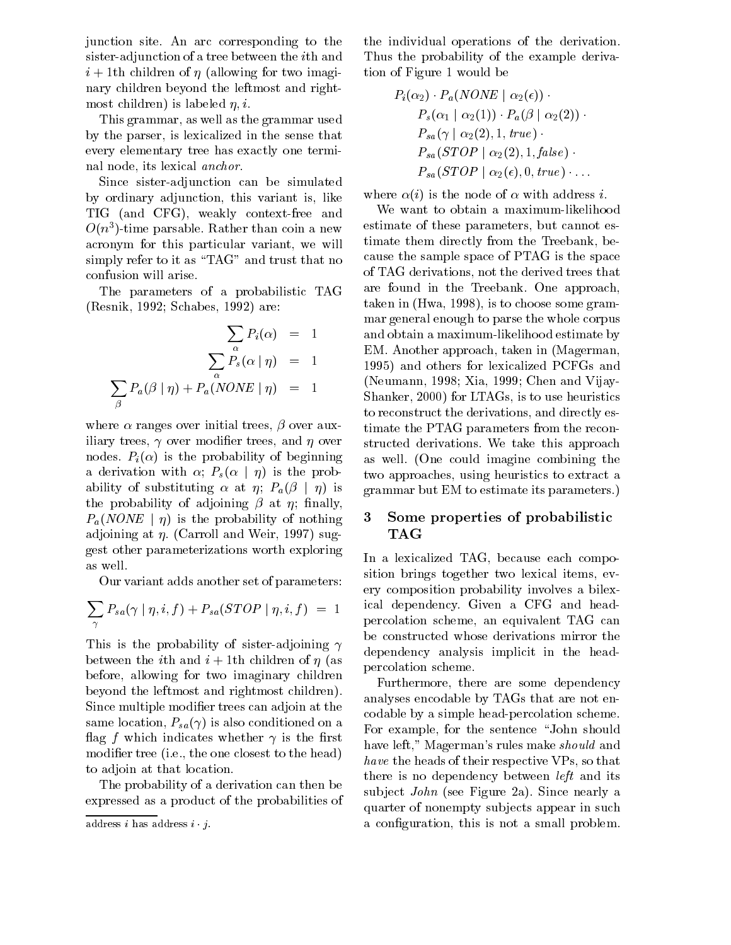junction site. An arc corresponding to the sister-adjunction of a tree between the ith and  $i + 1$ th children of  $\eta$  (allowing for two imaginary children beyond the leftmost and rightmost children) is labeled  $\eta$ , *i*.

This grammar, as well as the grammar used by the parser, is lexicalized in the sense that every elementary tree has exactly one terminal node, its lexical anchor.

Since sister-adjunction can be simulated by ordinary adjunction, this variant is, like TIG (and CFG), weakly context-free and  $O(n<sup>3</sup>)$ -time parsable. Rather than coin a new  $\sim$ acronym for this particular variant, we will simply refer to it as "TAG" and trust that no confusion will arise.

The parameters of a probabilistic TAG (Resnik, 1992; Schabes, 1992) are:

$$
\sum_{\alpha} P_i(\alpha) = 1 \quad \text{or} \quad \text{and} \quad \sum_{\alpha} P_s(\alpha \mid \eta) = 1 \quad \text{or} \quad \sum_{\beta} P_a(\beta \mid \eta) + P_a(\text{NONE} \mid \eta) = 1 \quad \text{(N.14)}
$$

where  $\alpha$  ranges over initial trees,  $\beta$  over auxiliary trees,  $\gamma$  over modifier trees, and  $\eta$  over nodes.  $P_i(\alpha)$  is the probability of beginning a derivation with  $\alpha$ ;  $P_s(\alpha | \eta)$  is the probability of substituting  $\alpha$  at  $\eta$ ;  $P_a(\beta | \eta)$  is the probability of adjoining  $\beta$  at  $\eta$ ; finally,  $P_a(NONE | \eta)$  is the probability of nothing adjoining at  $\eta$ . (Carroll and Weir, 1997) suggest other parameterizations worth exploring as well.

Our variant adds another set of parameters:

$$
\sum_{\gamma} P_{sa}(\gamma \mid \eta, i, f) + P_{sa}(STOP \mid \eta, i, f) = 1 \quad \text{ical de}
$$

This is the probability of sister-adjoining  $\gamma$ between the *i*th and  $i + 1$ th children of  $\eta$  (as before, allowing for two imaginary children beyond the leftmost and rightmost children). Since multiple modifier trees can adjoin at the same location,  $P_{sa}(\gamma)$  is also conditioned on a flag f which indicates whether  $\gamma$  is the first modifier tree (i.e., the one closest to the head) to adjoin at that location.

The probability of a derivation can then be expressed as a product of the probabilities of

the individual operations of the derivation. Thus the probability of the example derivation of Figure 1 would be

$$
P_i(\alpha_2) \cdot P_a(NONE \mid \alpha_2(\epsilon)) \cdot P_s(\alpha_1 \mid \alpha_2(1)) \cdot P_a(\beta \mid \alpha_2(2)) \cdot P_{sa}(\gamma \mid \alpha_2(2), 1, true) \cdot P_{sa}(STOP \mid \alpha_2(2), 1, false) \cdot P_{sa}(STOP \mid \alpha_2(\epsilon), 0, true) \cdot \dots
$$

where  $\alpha(i)$  is the node of  $\alpha$  with address *i*.<br>We want to obtain a maximum-likelihood

estimate of these parameters, but cannot estimate them directly from the Treebank, because the sample space of PTAG is the space of TAG derivations, not the derived trees that are found in the Treebank. One approach, taken in (Hwa, 1998), is to choose some grammar general enough to parse the whole corpus and obtain a maximum-likelihood estimate by EM. Another approach, taken in (Magerman, 1995) and others for lexicalized PCFGs and (Neumann, 1998; Xia, 1999; Chen and Vijay-Shanker, 2000) for LTAGs, is to use heuristics to reconstruct the derivations, and directly estimate the PTAG parameters from the reconstructed derivations. We take this approach as well. (One could imagine combining the two approaches, using heuristics to extract a grammar but EM to estimate its parameters.)

# 3 Some properties of probabilistic TAG

In a lexicalized TAG, because each composition brings together two lexical items, every composition probability involves a bilexical dependency. Given a CFG and headpercolation scheme, an equivalent TAG can be constructed whose derivations mirror the dependency analysis implicit in the headpercolation scheme.

Furthermore, there are some dependency analyses encodable by TAGs that are not encodable by a simple head-percolation scheme. For example, for the sentence "John should have left," Magerman's rules make should and have the heads of their respective VPs, so that there is no dependency between *left* and its subject *John* (see Figure 2a). Since nearly a quarter of nonempty subjects appear in such a conguration, this is not a small problem.

address i has address  $i \cdot j$ .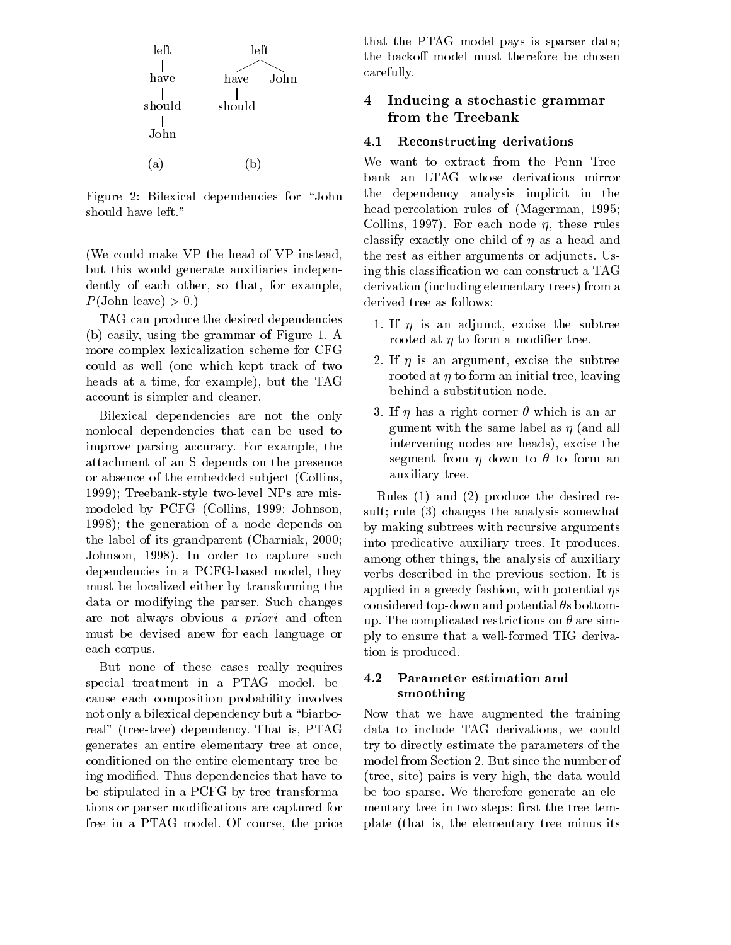

Figure 2: Bilexical dependencies for "John should have left."

(We could make VP the head of VP instead, but this would generate auxiliaries independently of each other, so that, for example,  $P(\text{John leave}) > 0.)$ 

TAG can produce the desired dependencies (b) easily, using the grammar of Figure 1.A more complex lexicalization scheme for CFG could as well (one which kept track of two heads at a time, for example), but the TAG account is simpler and cleaner.

Bilexical dependencies are not the only nonlocal dependencies that can be used to improve parsing accuracy. For example, the attachment of an S depends on the presence or absence of the embedded subject (Collins, 1999); Treebank-style two-level NPs are mismodeled by PCFG (Collins, 1999; Johnson, 1998); the generation of a node depends on the label of its grandparent (Charniak, 2000; Johnson, 1998). In order to capture such dependencies in a PCFG-based model, they must be localized either by transforming the data or modifying the parser. Such changes are not always obvious <sup>a</sup> priori and often must be devised anew for each language or each corpus.

But none of these cases really requires special treatment in a PTAG model, because each composition probability involves not only a bilexical dependency but a "biarboreal" (tree-tree) dependency. That is, PTAG generates an entire elementary tree at once, conditioned on the entire elementary tree being modied. Thus dependencies that have to be stipulated in a PCFG by tree transformations or parser modications are captured for free in a PTAG model. Of course, the price

that the PTAG model pays is sparser data; the backoff model must therefore be chosen carefully.

### 4 Inducing a stochastic grammar from the Treebank

### 4.1Reconstructing derivations

We want to extract from the Penn Treebank an LTAG whose derivations mirror the dependency analysis implicit in the head-percolation rules of (Magerman, 1995; Collins, 1997). For each node  $\eta$ , these rules classify exactly one child of  $\eta$  as a head and the rest as either arguments or adjuncts. Using this classication we can construct a TAG derivation (including elementary trees) from a derived tree as follows:

- 1. If  $\eta$  is an adjunct, excise the subtree rooted at  $\eta$  to form a modifier tree.
- 2. If  $\eta$  is an argument, excise the subtree rooted at  $\eta$  to form an initial tree, leaving behind a substitution node.
- 3. If  $\eta$  has a right corner  $\theta$  which is an argument with the same label as  $\eta$  (and all intervening nodes are heads), excise the segment from  $\eta$  down to  $\theta$  to form an auxiliary tree.

Rules (1) and (2) produce the desired result; rule (3) changes the analysis somewhat by making subtrees with recursive arguments into predicative auxiliary trees. It produces, among other things, the analysis of auxiliary verbs described in the previous section. It is applied in a greedy fashion, with potential  $\eta s$ considered top-down and potential  $\theta$ s bottomup. The complicated restrictions on  $\theta$  are simply to ensure that a well-formed TIG derivation is produced.

### 4.2 Parameter estimation and smoothing

Now that we have augmented the training data to include TAG derivations, we could try to directly estimate the parameters of the model from Section 2. But since the number of (tree, site) pairs is very high, the data would be too sparse. We therefore generate an elementary tree in two steps: first the tree template (that is, the elementary tree minus its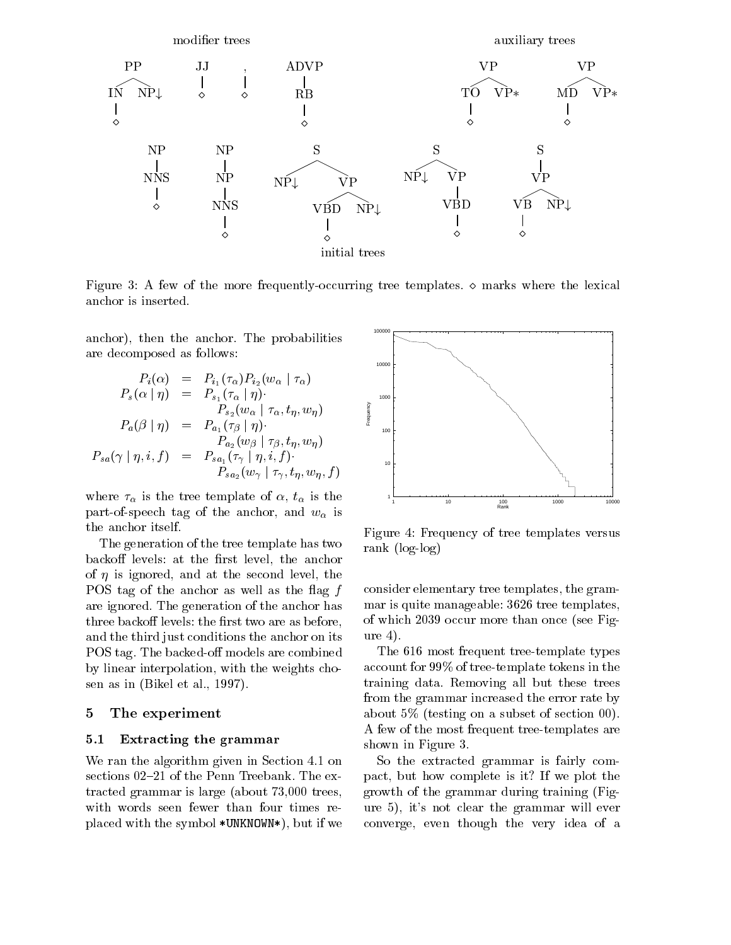

Figure 3: A few of the more frequently-occurring tree templates.  $\diamond$  marks where the lexical anchor is inserted.

anchor), then the anchor. The probabilities are decomposed as follows:

$$
P_i(\alpha) = P_{i_1}(\tau_{\alpha}) P_{i_2}(w_{\alpha} | \tau_{\alpha})
$$
  
\n
$$
P_s(\alpha | \eta) = P_{s_1}(\tau_{\alpha} | \eta)
$$
  
\n
$$
P_{s_2}(w_{\alpha} | \tau_{\alpha}, t_{\eta}, w_{\eta})
$$
  
\n
$$
P_a(\beta | \eta) = P_{a_1}(\tau_{\beta} | \eta)
$$
  
\n
$$
P_{s_2}(w_{\beta} | \tau_{\beta}, t_{\eta}, w_{\eta})
$$
  
\n
$$
P_{s_4}(\gamma | \eta, i, f) = P_{s_{a_1}}(\tau_{\gamma} | \eta, i, f)
$$
  
\n
$$
P_{s_{a_2}}(w_{\gamma} | \tau_{\gamma}, t_{\eta}, w_{\eta}, f)
$$

where  $\tau_{\alpha}$  is the tree template of  $\alpha$ ,  $t_{\alpha}$  is the part-of-speech tag of the anchor, and  $w_{\alpha}$  is the anchor itself.

The generation of the tree template has two backoff levels: at the first level, the anchor of  $\eta$  is ignored, and at the second level, the POS tag of the anchor as well as the flag  $f$ are ignored. The generation of the anchor has three backoff levels: the first two are as before, and the third just conditions the anchor on its POS tag. The backed-off models are combined by linear interpolation, with the weights chosen as in (Bikel et al., 1997).

### 5 The experiment

#### 5.1Extracting the grammar

We ran the algorithm given in Section 4.1 on sections 02-21 of the Penn Treebank. The extracted grammar is large (about 73,000 trees, with words seen fewer than four times replaced with the symbol \*UNKNOWN\*), but if we



Figure 4: Frequency of tree templates versus rank (log-log)

consider elementary tree templates, the grammar is quite manageable: 3626 tree templates, of which 2039 occur more than once (see Figure 4).

The 616 most frequent tree-template types account for 99% of tree-template tokens in the training data. Removing all but these trees from the grammar increased the error rate by about 5% (testing on a subset of section 00). A few of the most frequent tree-templates are shown in Figure 3.

So the extracted grammar is fairly compact, but how complete is it? If we plot the growth of the grammar during training (Figure 5), it's not clear the grammar will ever converge, even though the very idea of a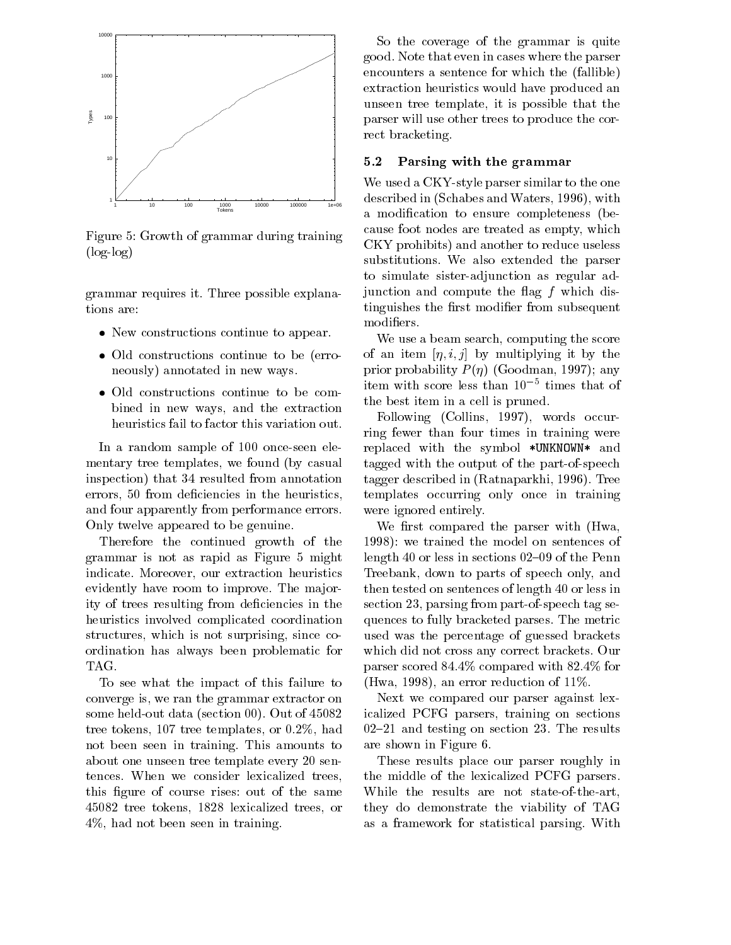

Figure 5: Growth of grammar during training (log-log)

grammar requires it. Three possible explanations are:

- New constructions continue to appear.
- Old constructions continue to be (erroneously) annotated in new ways.
- Old constructions continue to be combined in new ways, and the extraction heuristics fail to factor this variation out.

In a random sample of 100 once-seen elementary tree templates, we found (by casual inspection) that 34 resulted from annotation errors, 50 from deficiencies in the heuristics, and four apparently from performance errors. Only twelve appeared to be genuine.

Therefore the continued growth of the grammar is not as rapid as Figure 5 might indicate. Moreover, our extraction heuristics evidently have room to improve. The majority of trees resulting from deficiencies in the heuristics involved complicated coordination structures, which is not surprising, since coordination has always been problematic for TAG.

To see what the impact of this failure to converge is, we ran the grammar extractor on some held-out data (section 00). Out of 45082 tree tokens, 107 tree templates, or 0.2%, had not been seen in training. This amounts to about one unseen tree template every 20 sentences. When we consider lexicalized trees, this figure of course rises: out of the same 45082 tree tokens, 1828 lexicalized trees, or 4%, had not been seen in training.

So the coverage of the grammar is quite good. Note that even in cases where the parser encounters a sentence for which the (fallible) extraction heuristics would have produced an unseen tree template, it is possible that the parser will use other trees to produce the correct bracketing.

### 5.2Parsing with the grammar

We used a CKY-style parser similar to the one described in (Schabes and Waters, 1996), with a modification to ensure completeness (because foot nodes are treated as empty, which CKY prohibits) and another to reduce useless substitutions. We also extended the parser to simulate sister-adjunction as regular adjunction and compute the flag  $f$  which distinguishes the first modifier from subsequent modiers.

We use a beam search, computing the score of an item  $[\eta, i, j]$  by multiplying it by the prior probability  $P(\eta)$  (Goodman, 1997); any item with score less than 105 times that of the best item in a cell is pruned.

Following (Collins, 1997), words occurring fewer than four times in training were replaced with the symbol \*UNKNOWN\* and tagged with the output of the part-of-speech tagger described in (Ratnaparkhi, 1996). Tree templates occurring only once in training were ignored entirely.

We first compared the parser with (Hwa, 1998): we trained the model on sentences of length 40 or less in sections  $02{-}09$  of the Penn Treebank, down to parts of speech only, and then tested on sentences of length 40 or less in section 23, parsing from part-of-speech tag sequences to fully bracketed parses. The metric used was the percentage of guessed brackets which did not cross any correct brackets. Our parser scored 84.4% compared with 82.4% for (Hwa, 1998), an error reduction of 11%.

Next we compared our parser against lexicalized PCFG parsers, training on sections  $02-21$  and testing on section 23. The results are shown in Figure 6.

These results place our parser roughly in the middle of the lexicalized PCFG parsers. While the results are not state-of-the-art, they do demonstrate the viability of TAG as a framework for statistical parsing. With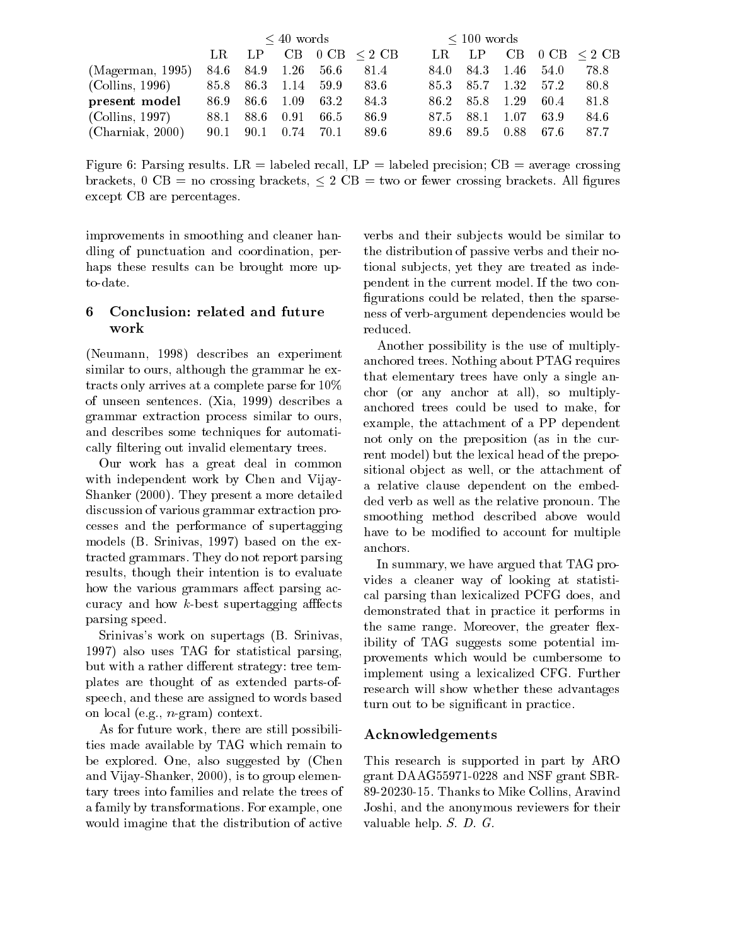|                  | $\leq 40$ words |           |           |      |                       | $\leq 100$ words |       |      |      |                    |  |
|------------------|-----------------|-----------|-----------|------|-----------------------|------------------|-------|------|------|--------------------|--|
|                  | $_{LR}$         | LP        |           |      | $CB$ 0 CB $\leq$ 2 CB | LR.              | LP.   | CB   |      | $0$ CB $\leq$ 2 CB |  |
| (Magerman, 1995) | 84.6            | 84.9 1.26 |           | 56.6 | 81.4                  | 84.0             | 84.3  | 1.46 | 54.0 | 78.8               |  |
| (Collins, 1996)  | 85.8            |           | 86.3 1.14 | 59.9 | 83.6                  | 85.3             | -85.7 | 1.32 | 57.2 | 80.8               |  |
| present model    | 86.9            | -86.6     | 1.09      | 63.2 | 84.3                  | 86.2             | 85.8  | 1.29 | 60.4 | 81.8               |  |
| (Collins, 1997)  | 88.1            | 88.6      | 0.91      | 66.5 | 86.9                  | 87.5             | 88.1  | 1.07 | 63.9 | 84.6               |  |
| (Charniak, 2000) | 90.1            | 90.1      | 0.74      | 70.1 | 89.6                  | 89.6             | 89.5  | 0.88 | 67.6 | 87.7               |  |

Figure 6: Parsing results. LR = labeled recall, LP = labeled precision; CB = average crossing brackets,  $0 \text{ CB} =$  no crossing brackets,  $\leq 2 \text{ CB} =$  two or fewer crossing brackets. All figures except CB are percentages.

improvements in smoothing and cleaner handling of punctuation and coordination, perhaps these results can be brought more upto-date.

# 6 Conclusion: related and future work

(Neumann, 1998) describes an experiment similar to ours, although the grammar he extracts only arrives at a complete parse for 10% of unseen sentences. (Xia, 1999) describes a grammar extraction process similar to ours, and describes some techniques for automatically filtering out invalid elementary trees.

Our work has a great deal in common with independent work by Chen and Vijay-Shanker (2000). They present a more detailed discussion of various grammar extraction processes and the performance of supertagging models (B. Srinivas, 1997) based on the extracted grammars. They do not report parsing results, though their intention is to evaluate how the various grammars affect parsing accuracy and how  $k$ -best supertagging affects parsing speed.

Srinivas's work on supertags (B. Srinivas, 1997) also uses TAG for statistical parsing, but with a rather different strategy: tree templates are thought of as extended parts-ofspeech, and these are assigned to words based on local (e.g., n-gram) context.

As for future work, there are still possibilities made available by TAG which remain to be explored. One, also suggested by (Chen and Vijay-Shanker, 2000), is to group elementary trees into families and relate the trees of a family by transformations. For example, one would imagine that the distribution of active

verbs and their subjects would be similar to the distribution of passive verbs and their notional subjects, yet they are treated as independent in the current model. If the two con figurations could be related, then the sparseness of verb-argument dependencies would be reduced.

Another possibility is the use of multiplyanchored trees. Nothing about PTAG requires that elementary trees have only a single anchor (or any anchor at all), so multiplyanchored trees could be used to make, for example, the attachment of a PP dependent not only on the preposition (as in the current model) but the lexical head of the prepositional object as well, or the attachment of a relative clause dependent on the embedded verb as well as the relative pronoun. The smoothing method described above would have to be modified to account for multiple anchors.

In summary, we have argued that TAG provides a cleaner way of looking at statistical parsing than lexicalized PCFG does, and demonstrated that in practice it performs in the same range. Moreover, the greater flexibility of TAG suggests some potential improvements which would be cumbersome to implement using a lexicalized CFG. Further research will show whether these advantages turn out to be signicant in practice.

# Acknowledgements

This research is supported in part by ARO grant DAAG55971-0228 and NSF grant SBR-89-20230-15. Thanks to Mike Collins, Aravind Joshi, and the anonymous reviewers for their valuable help. S. D. G.